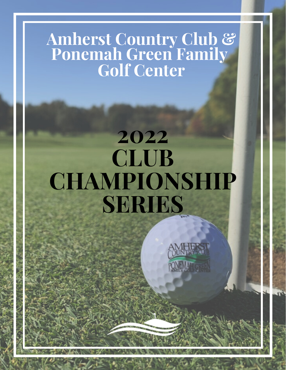#### **Amherst Country Club & Ponemah Green Family Golf Center**

### **2022 CLUB CHAMPIONSHIP SERIES**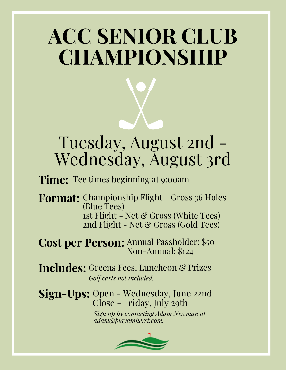## **ACC SENIOR CLUB CHAMPIONSHIP**

### Tuesday, August 2nd - Wednesday, August 3rd

**Time:** Tee times beginning at 9:00am

**Format:** Championship Flight - Gross 36 Holes (Blue Tees) 1st Flight - Net & Gross (White Tees) 2nd Flight - Net  $\mathcal C$  Gross (Gold Tees)

**Cost per Person:** Annual Passholder: \$50 Non-Annual: \$124

Includes: Greens Fees, Luncheon & Prizes *Golf carts not included.*

**Sign-Ups:** Open - Wednesday, June 22nd Close - Friday, July 29th

*Sign up by contacting Adam Newman at adam@playamherst.com.*

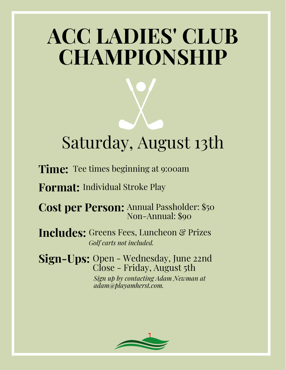## **ACC LADIES' CLUB CHAMPIONSHIP**

### Saturday, August 13th

**Time:** Tee times beginning at 9:00am

**Format:** Individual Stroke Play

**Cost per Person:** Annual Passholder: \$50 Non-Annual: \$90

Includes: Greens Fees, Luncheon & Prizes *Golf carts not included.*

**Sign-Ups:** Open - Wednesday, June 22nd Close - Friday, August 5th *Sign up by contacting Adam Newman at adam@playamherst.com.*

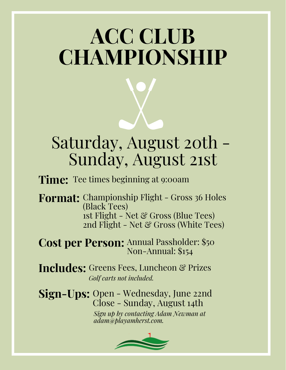# **ACC CLUB CHAMPIONSHIP**

### Saturday, August 20th - Sunday, August 21st

**Time:** Tee times beginning at 9:00am

**Format:** Championship Flight - Gross 36 Holes (Black Tees) 1st Flight - Net & Gross (Blue Tees) 2nd Flight - Net & Gross (White Tees)

**Cost per Person:** Annual Passholder: \$50 Non-Annual: \$154

Includes: Greens Fees, Luncheon & Prizes *Golf carts not included.*

**Sign-Ups:** Open - Wednesday, June 22nd Close - Sunday, August 14th

*Sign up by contacting Adam Newman at adam@playamherst.com.*